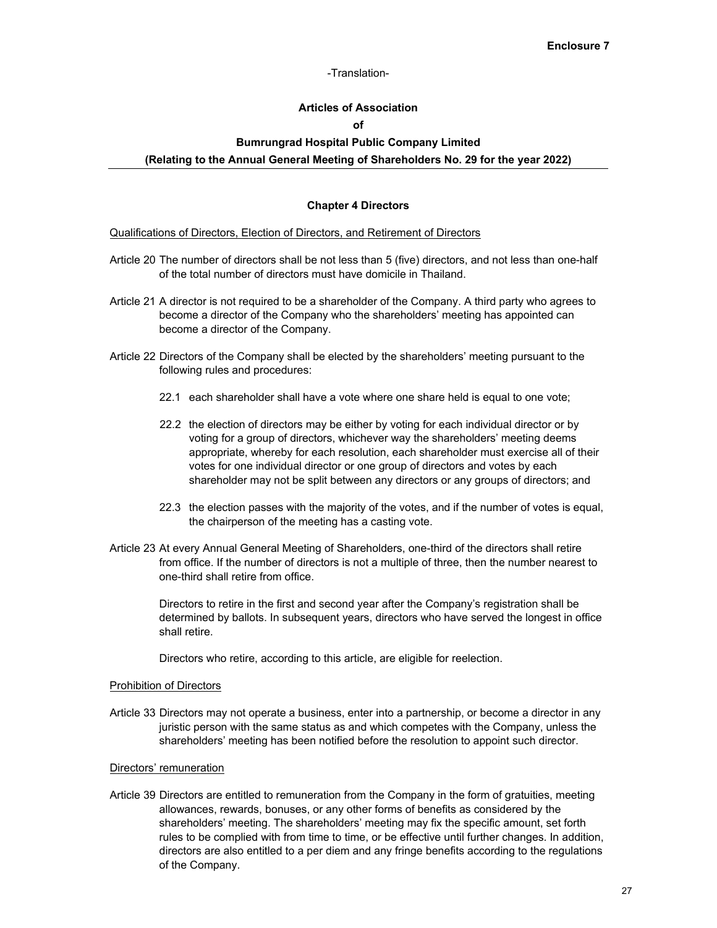#### -Translation-

### **Articles of Association**

**of** 

# **Bumrungrad Hospital Public Company Limited**

**(Relating to the Annual General Meeting of Shareholders No. 29 for the year 2022)** 

# **Chapter 4 Directors**

Qualifications of Directors, Election of Directors, and Retirement of Directors

- Article 20 The number of directors shall be not less than 5 (five) directors, and not less than one-half of the total number of directors must have domicile in Thailand.
- Article 21 A director is not required to be a shareholder of the Company. A third party who agrees to become a director of the Company who the shareholders' meeting has appointed can become a director of the Company.
- Article 22 Directors of the Company shall be elected by the shareholders' meeting pursuant to the following rules and procedures:
	- 22.1 each shareholder shall have a vote where one share held is equal to one vote;
	- 22.2 the election of directors may be either by voting for each individual director or by voting for a group of directors, whichever way the shareholders' meeting deems appropriate, whereby for each resolution, each shareholder must exercise all of their votes for one individual director or one group of directors and votes by each shareholder may not be split between any directors or any groups of directors; and
	- 22.3 the election passes with the majority of the votes, and if the number of votes is equal, the chairperson of the meeting has a casting vote.
- Article 23 At every Annual General Meeting of Shareholders, one-third of the directors shall retire from office. If the number of directors is not a multiple of three, then the number nearest to one-third shall retire from office.

 Directors to retire in the first and second year after the Company's registration shall be determined by ballots. In subsequent years, directors who have served the longest in office shall retire.

Directors who retire, according to this article, are eligible for reelection.

## Prohibition of Directors

Article 33 Directors may not operate a business, enter into a partnership, or become a director in any juristic person with the same status as and which competes with the Company, unless the shareholders' meeting has been notified before the resolution to appoint such director.

## Directors' remuneration

Article 39 Directors are entitled to remuneration from the Company in the form of gratuities, meeting allowances, rewards, bonuses, or any other forms of benefits as considered by the shareholders' meeting. The shareholders' meeting may fix the specific amount, set forth rules to be complied with from time to time, or be effective until further changes. In addition, directors are also entitled to a per diem and any fringe benefits according to the regulations of the Company.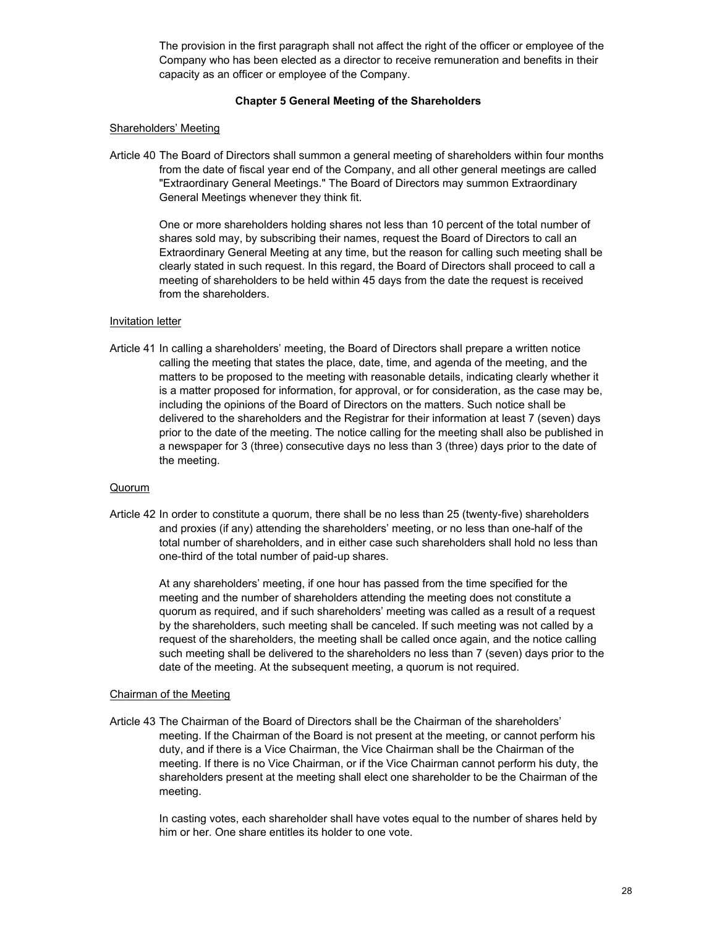The provision in the first paragraph shall not affect the right of the officer or employee of the Company who has been elected as a director to receive remuneration and benefits in their capacity as an officer or employee of the Company.

## **Chapter 5 General Meeting of the Shareholders**

## Shareholders' Meeting

Article 40 The Board of Directors shall summon a general meeting of shareholders within four months from the date of fiscal year end of the Company, and all other general meetings are called "Extraordinary General Meetings." The Board of Directors may summon Extraordinary General Meetings whenever they think fit.

> One or more shareholders holding shares not less than 10 percent of the total number of shares sold may, by subscribing their names, request the Board of Directors to call an Extraordinary General Meeting at any time, but the reason for calling such meeting shall be clearly stated in such request. In this regard, the Board of Directors shall proceed to call a meeting of shareholders to be held within 45 days from the date the request is received from the shareholders.

#### Invitation letter

Article 41 In calling a shareholders' meeting, the Board of Directors shall prepare a written notice calling the meeting that states the place, date, time, and agenda of the meeting, and the matters to be proposed to the meeting with reasonable details, indicating clearly whether it is a matter proposed for information, for approval, or for consideration, as the case may be, including the opinions of the Board of Directors on the matters. Such notice shall be delivered to the shareholders and the Registrar for their information at least 7 (seven) days prior to the date of the meeting. The notice calling for the meeting shall also be published in a newspaper for 3 (three) consecutive days no less than 3 (three) days prior to the date of the meeting.

#### Quorum

Article 42 In order to constitute a quorum, there shall be no less than 25 (twenty-five) shareholders and proxies (if any) attending the shareholders' meeting, or no less than one-half of the total number of shareholders, and in either case such shareholders shall hold no less than one-third of the total number of paid-up shares.

At any shareholders' meeting, if one hour has passed from the time specified for the meeting and the number of shareholders attending the meeting does not constitute a quorum as required, and if such shareholders' meeting was called as a result of a request by the shareholders, such meeting shall be canceled. If such meeting was not called by a request of the shareholders, the meeting shall be called once again, and the notice calling such meeting shall be delivered to the shareholders no less than 7 (seven) days prior to the date of the meeting. At the subsequent meeting, a quorum is not required.

## Chairman of the Meeting

Article 43 The Chairman of the Board of Directors shall be the Chairman of the shareholders' meeting. If the Chairman of the Board is not present at the meeting, or cannot perform his duty, and if there is a Vice Chairman, the Vice Chairman shall be the Chairman of the meeting. If there is no Vice Chairman, or if the Vice Chairman cannot perform his duty, the shareholders present at the meeting shall elect one shareholder to be the Chairman of the meeting.

> In casting votes, each shareholder shall have votes equal to the number of shares held by him or her. One share entitles its holder to one vote.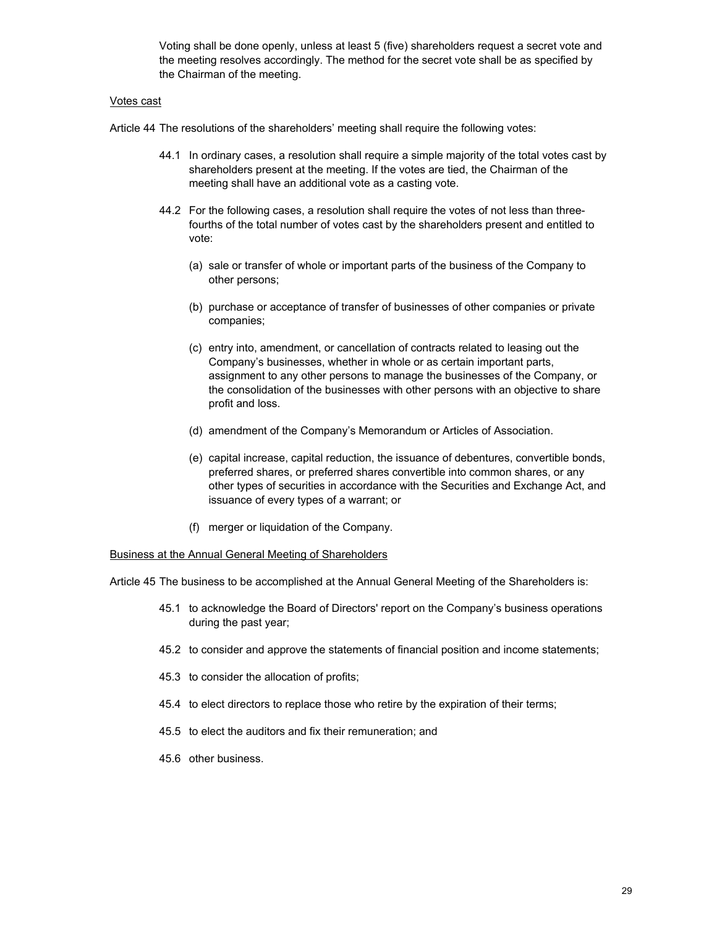Voting shall be done openly, unless at least 5 (five) shareholders request a secret vote and the meeting resolves accordingly. The method for the secret vote shall be as specified by the Chairman of the meeting.

#### Votes cast

Article 44 The resolutions of the shareholders' meeting shall require the following votes:

- 44.1 In ordinary cases, a resolution shall require a simple majority of the total votes cast by shareholders present at the meeting. If the votes are tied, the Chairman of the meeting shall have an additional vote as a casting vote.
- 44.2 For the following cases, a resolution shall require the votes of not less than threefourths of the total number of votes cast by the shareholders present and entitled to vote:
	- (a) sale or transfer of whole or important parts of the business of the Company to other persons;
	- (b) purchase or acceptance of transfer of businesses of other companies or private companies;
	- (c) entry into, amendment, or cancellation of contracts related to leasing out the Company's businesses, whether in whole or as certain important parts, assignment to any other persons to manage the businesses of the Company, or the consolidation of the businesses with other persons with an objective to share profit and loss.
	- (d) amendment of the Company's Memorandum or Articles of Association.
	- (e) capital increase, capital reduction, the issuance of debentures, convertible bonds, preferred shares, or preferred shares convertible into common shares, or any other types of securities in accordance with the Securities and Exchange Act, and issuance of every types of a warrant; or
	- (f) merger or liquidation of the Company.

Business at the Annual General Meeting of Shareholders

Article 45 The business to be accomplished at the Annual General Meeting of the Shareholders is:

- 45.1 to acknowledge the Board of Directors' report on the Company's business operations during the past year;
- 45.2 to consider and approve the statements of financial position and income statements;
- 45.3 to consider the allocation of profits;
- 45.4 to elect directors to replace those who retire by the expiration of their terms;
- 45.5 to elect the auditors and fix their remuneration; and
- 45.6 other business.